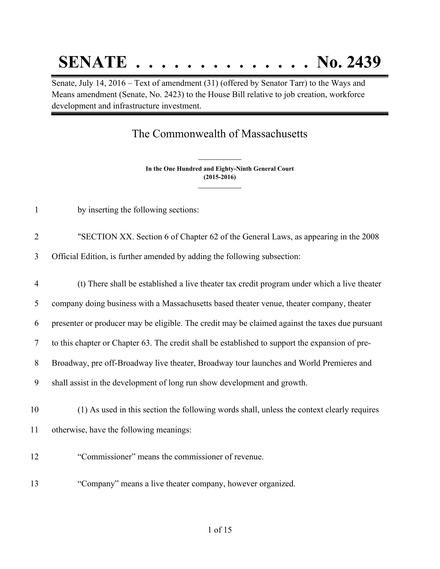## **SENATE . . . . . . . . . . . . . . No. 2439**

Senate, July 14, 2016 – Text of amendment (31) (offered by Senator Tarr) to the Ways and Means amendment (Senate, No. 2423) to the House Bill relative to job creation, workforce development and infrastructure investment.

## The Commonwealth of Massachusetts

**In the One Hundred and Eighty-Ninth General Court (2015-2016) \_\_\_\_\_\_\_\_\_\_\_\_\_\_\_**

**\_\_\_\_\_\_\_\_\_\_\_\_\_\_\_**

- by inserting the following sections:
- "SECTION XX. Section 6 of Chapter 62 of the General Laws, as appearing in the 2008

Official Edition, is further amended by adding the following subsection:

- (t) There shall be established a live theater tax credit program under which a live theater company doing business with a Massachusetts based theater venue, theater company, theater presenter or producer may be eligible. The credit may be claimed against the taxes due pursuant to this chapter or Chapter 63. The credit shall be established to support the expansion of pre- Broadway, pre off-Broadway live theater, Broadway tour launches and World Premieres and shall assist in the development of long run show development and growth. (1) As used in this section the following words shall, unless the context clearly requires otherwise, have the following meanings: "Commissioner" means the commissioner of revenue.
- "Company" means a live theater company, however organized.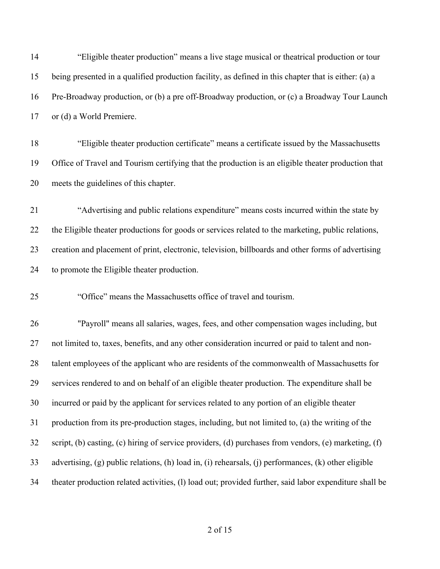| 14 | "Eligible theater production" means a live stage musical or theatrical production or tour              |
|----|--------------------------------------------------------------------------------------------------------|
| 15 | being presented in a qualified production facility, as defined in this chapter that is either: (a) a   |
| 16 | Pre-Broadway production, or (b) a pre off-Broadway production, or (c) a Broadway Tour Launch           |
| 17 | or (d) a World Premiere.                                                                               |
| 18 | "Eligible theater production certificate" means a certificate issued by the Massachusetts              |
| 19 | Office of Travel and Tourism certifying that the production is an eligible theater production that     |
| 20 | meets the guidelines of this chapter.                                                                  |
| 21 | "Advertising and public relations expenditure" means costs incurred within the state by                |
| 22 | the Eligible theater productions for goods or services related to the marketing, public relations,     |
| 23 | creation and placement of print, electronic, television, billboards and other forms of advertising     |
| 24 | to promote the Eligible theater production.                                                            |
| 25 | "Office" means the Massachusetts office of travel and tourism.                                         |
| 26 | "Payroll" means all salaries, wages, fees, and other compensation wages including, but                 |
| 27 | not limited to, taxes, benefits, and any other consideration incurred or paid to talent and non-       |
| 28 | talent employees of the applicant who are residents of the commonwealth of Massachusetts for           |
| 29 | services rendered to and on behalf of an eligible theater production. The expenditure shall be         |
| 30 | incurred or paid by the applicant for services related to any portion of an eligible theater           |
| 31 | production from its pre-production stages, including, but not limited to, (a) the writing of the       |
| 32 | script, (b) casting, (c) hiring of service providers, (d) purchases from vendors, (e) marketing, (f)   |
| 33 | advertising, (g) public relations, (h) load in, (i) rehearsals, (j) performances, (k) other eligible   |
| 34 | theater production related activities, (1) load out; provided further, said labor expenditure shall be |
|    |                                                                                                        |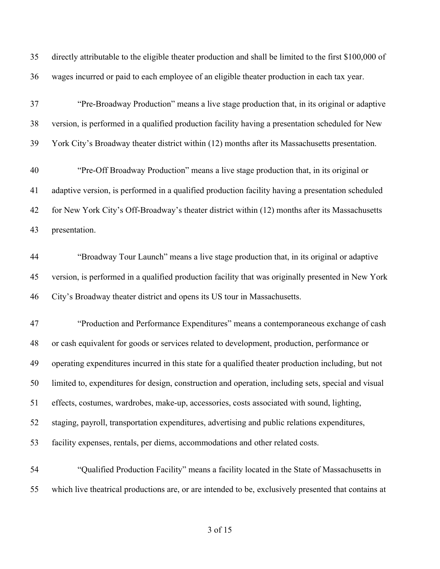directly attributable to the eligible theater production and shall be limited to the first \$100,000 of wages incurred or paid to each employee of an eligible theater production in each tax year.

 "Pre-Broadway Production" means a live stage production that, in its original or adaptive version, is performed in a qualified production facility having a presentation scheduled for New York City's Broadway theater district within (12) months after its Massachusetts presentation.

 "Pre-Off Broadway Production" means a live stage production that, in its original or adaptive version, is performed in a qualified production facility having a presentation scheduled for New York City's Off-Broadway's theater district within (12) months after its Massachusetts presentation.

 "Broadway Tour Launch" means a live stage production that, in its original or adaptive version, is performed in a qualified production facility that was originally presented in New York City's Broadway theater district and opens its US tour in Massachusetts.

 "Production and Performance Expenditures" means a contemporaneous exchange of cash or cash equivalent for goods or services related to development, production, performance or operating expenditures incurred in this state for a qualified theater production including, but not limited to, expenditures for design, construction and operation, including sets, special and visual effects, costumes, wardrobes, make-up, accessories, costs associated with sound, lighting, staging, payroll, transportation expenditures, advertising and public relations expenditures, facility expenses, rentals, per diems, accommodations and other related costs.

 "Qualified Production Facility" means a facility located in the State of Massachusetts in which live theatrical productions are, or are intended to be, exclusively presented that contains at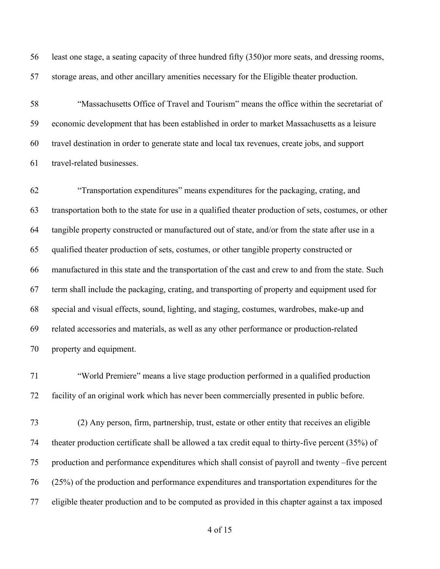least one stage, a seating capacity of three hundred fifty (350)or more seats, and dressing rooms, storage areas, and other ancillary amenities necessary for the Eligible theater production.

 "Massachusetts Office of Travel and Tourism" means the office within the secretariat of economic development that has been established in order to market Massachusetts as a leisure travel destination in order to generate state and local tax revenues, create jobs, and support travel-related businesses.

 "Transportation expenditures" means expenditures for the packaging, crating, and transportation both to the state for use in a qualified theater production of sets, costumes, or other tangible property constructed or manufactured out of state, and/or from the state after use in a qualified theater production of sets, costumes, or other tangible property constructed or manufactured in this state and the transportation of the cast and crew to and from the state. Such term shall include the packaging, crating, and transporting of property and equipment used for special and visual effects, sound, lighting, and staging, costumes, wardrobes, make-up and related accessories and materials, as well as any other performance or production-related property and equipment.

 "World Premiere" means a live stage production performed in a qualified production facility of an original work which has never been commercially presented in public before.

 (2) Any person, firm, partnership, trust, estate or other entity that receives an eligible theater production certificate shall be allowed a tax credit equal to thirty-five percent (35%) of production and performance expenditures which shall consist of payroll and twenty –five percent (25%) of the production and performance expenditures and transportation expenditures for the eligible theater production and to be computed as provided in this chapter against a tax imposed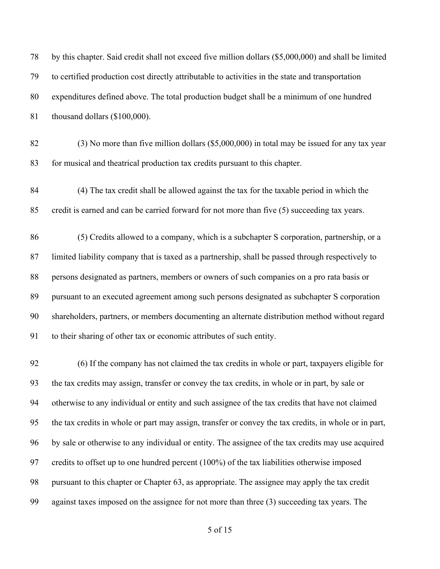| 78 | by this chapter. Said credit shall not exceed five million dollars (\$5,000,000) and shall be limited |
|----|-------------------------------------------------------------------------------------------------------|
| 79 | to certified production cost directly attributable to activities in the state and transportation      |
| 80 | expenditures defined above. The total production budget shall be a minimum of one hundred             |
| 81 | thousand dollars (\$100,000).                                                                         |
| 82 | $(3)$ No more than five million dollars (\$5,000,000) in total may be issued for any tax year         |
| 83 | for musical and theatrical production tax credits pursuant to this chapter.                           |
| 84 | (4) The tax credit shall be allowed against the tax for the taxable period in which the               |
| 85 | credit is earned and can be carried forward for not more than five (5) succeeding tax years.          |
| 86 | (5) Credits allowed to a company, which is a subchapter S corporation, partnership, or a              |
| 87 | limited liability company that is taxed as a partnership, shall be passed through respectively to     |
| 88 | persons designated as partners, members or owners of such companies on a pro rata basis or            |
| 89 | pursuant to an executed agreement among such persons designated as subchapter S corporation           |
| 90 | shareholders, partners, or members documenting an alternate distribution method without regard        |
| 91 | to their sharing of other tax or economic attributes of such entity.                                  |
| 92 | (6) If the company has not claimed the tax credits in whole or part, taxpayers eligible for           |
| 93 | the tax credits may assign, transfer or convey the tax credits, in whole or in part, by sale or       |
| 94 | otherwise to any individual or entity and such assignee of the tax credits that have not claimed      |
| 95 | the tax credits in whole or part may assign, transfer or convey the tax credits, in whole or in part, |
| 96 | by sale or otherwise to any individual or entity. The assignee of the tax credits may use acquired    |
| 97 | credits to offset up to one hundred percent (100%) of the tax liabilities otherwise imposed           |
| 98 | pursuant to this chapter or Chapter 63, as appropriate. The assignee may apply the tax credit         |
| 99 | against taxes imposed on the assignee for not more than three (3) succeeding tax years. The           |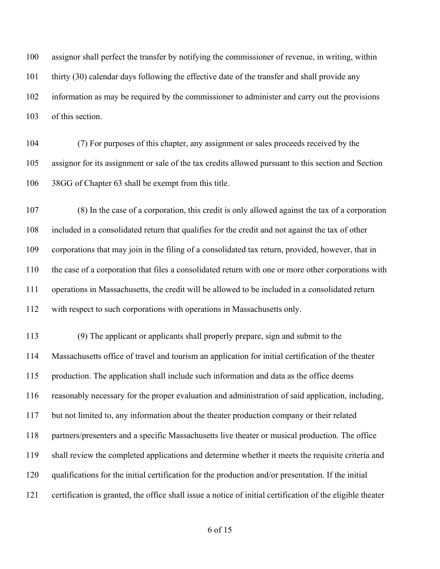assignor shall perfect the transfer by notifying the commissioner of revenue, in writing, within thirty (30) calendar days following the effective date of the transfer and shall provide any information as may be required by the commissioner to administer and carry out the provisions of this section.

 (7) For purposes of this chapter, any assignment or sales proceeds received by the assignor for its assignment or sale of the tax credits allowed pursuant to this section and Section 38GG of Chapter 63 shall be exempt from this title.

 (8) In the case of a corporation, this credit is only allowed against the tax of a corporation included in a consolidated return that qualifies for the credit and not against the tax of other corporations that may join in the filing of a consolidated tax return, provided, however, that in the case of a corporation that files a consolidated return with one or more other corporations with operations in Massachusetts, the credit will be allowed to be included in a consolidated return with respect to such corporations with operations in Massachusetts only.

 (9) The applicant or applicants shall properly prepare, sign and submit to the Massachusetts office of travel and tourism an application for initial certification of the theater production. The application shall include such information and data as the office deems reasonably necessary for the proper evaluation and administration of said application, including, but not limited to, any information about the theater production company or their related partners/presenters and a specific Massachusetts live theater or musical production. The office shall review the completed applications and determine whether it meets the requisite criteria and qualifications for the initial certification for the production and/or presentation. If the initial certification is granted, the office shall issue a notice of initial certification of the eligible theater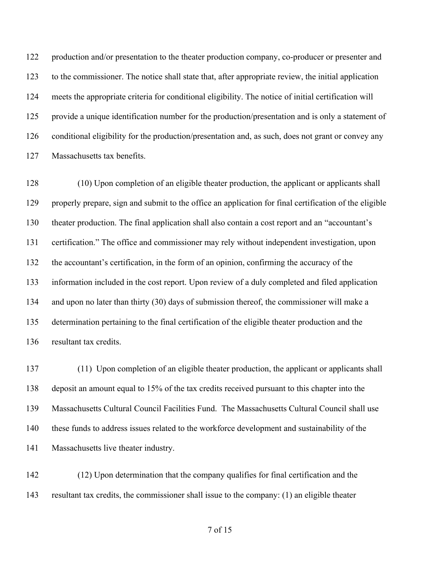122 production and/or presentation to the theater production company, co-producer or presenter and to the commissioner. The notice shall state that, after appropriate review, the initial application meets the appropriate criteria for conditional eligibility. The notice of initial certification will provide a unique identification number for the production/presentation and is only a statement of conditional eligibility for the production/presentation and, as such, does not grant or convey any Massachusetts tax benefits.

 (10) Upon completion of an eligible theater production, the applicant or applicants shall properly prepare, sign and submit to the office an application for final certification of the eligible theater production. The final application shall also contain a cost report and an "accountant's certification." The office and commissioner may rely without independent investigation, upon the accountant's certification, in the form of an opinion, confirming the accuracy of the information included in the cost report. Upon review of a duly completed and filed application and upon no later than thirty (30) days of submission thereof, the commissioner will make a determination pertaining to the final certification of the eligible theater production and the resultant tax credits.

 (11) Upon completion of an eligible theater production, the applicant or applicants shall deposit an amount equal to 15% of the tax credits received pursuant to this chapter into the Massachusetts Cultural Council Facilities Fund. The Massachusetts Cultural Council shall use these funds to address issues related to the workforce development and sustainability of the Massachusetts live theater industry.

 (12) Upon determination that the company qualifies for final certification and the resultant tax credits, the commissioner shall issue to the company: (1) an eligible theater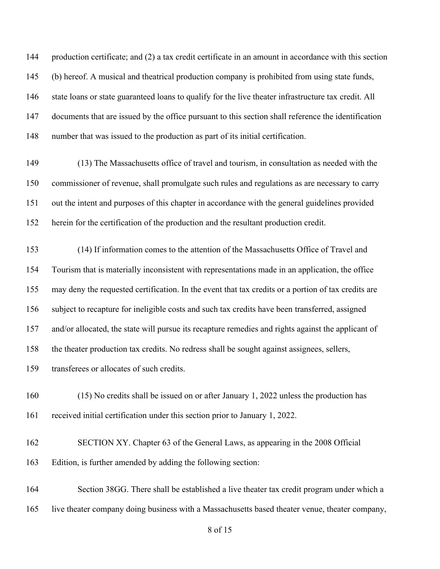production certificate; and (2) a tax credit certificate in an amount in accordance with this section (b) hereof. A musical and theatrical production company is prohibited from using state funds, state loans or state guaranteed loans to qualify for the live theater infrastructure tax credit. All documents that are issued by the office pursuant to this section shall reference the identification number that was issued to the production as part of its initial certification.

 (13) The Massachusetts office of travel and tourism, in consultation as needed with the commissioner of revenue, shall promulgate such rules and regulations as are necessary to carry out the intent and purposes of this chapter in accordance with the general guidelines provided herein for the certification of the production and the resultant production credit.

 (14) If information comes to the attention of the Massachusetts Office of Travel and Tourism that is materially inconsistent with representations made in an application, the office may deny the requested certification. In the event that tax credits or a portion of tax credits are subject to recapture for ineligible costs and such tax credits have been transferred, assigned and/or allocated, the state will pursue its recapture remedies and rights against the applicant of the theater production tax credits. No redress shall be sought against assignees, sellers, transferees or allocates of such credits.

 (15) No credits shall be issued on or after January 1, 2022 unless the production has received initial certification under this section prior to January 1, 2022.

 SECTION XY. Chapter 63 of the General Laws, as appearing in the 2008 Official Edition, is further amended by adding the following section:

 Section 38GG. There shall be established a live theater tax credit program under which a live theater company doing business with a Massachusetts based theater venue, theater company,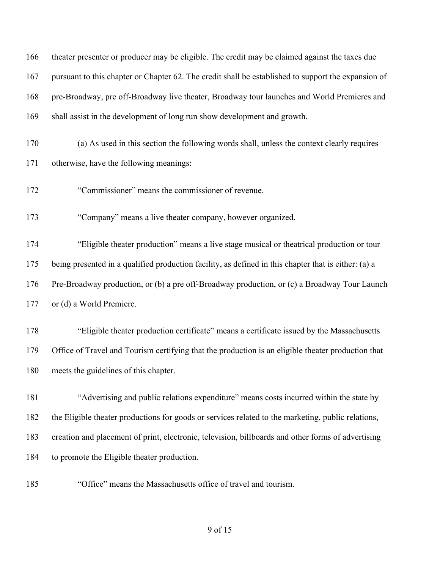| 166 | theater presenter or producer may be eligible. The credit may be claimed against the taxes due       |
|-----|------------------------------------------------------------------------------------------------------|
| 167 | pursuant to this chapter or Chapter 62. The credit shall be established to support the expansion of  |
| 168 | pre-Broadway, pre off-Broadway live theater, Broadway tour launches and World Premieres and          |
| 169 | shall assist in the development of long run show development and growth.                             |
| 170 | (a) As used in this section the following words shall, unless the context clearly requires           |
| 171 | otherwise, have the following meanings:                                                              |
| 172 | "Commissioner" means the commissioner of revenue.                                                    |
| 173 | "Company" means a live theater company, however organized.                                           |
| 174 | "Eligible theater production" means a live stage musical or theatrical production or tour            |
| 175 | being presented in a qualified production facility, as defined in this chapter that is either: (a) a |
| 176 | Pre-Broadway production, or (b) a pre off-Broadway production, or (c) a Broadway Tour Launch         |
| 177 | or (d) a World Premiere.                                                                             |
| 178 | "Eligible theater production certificate" means a certificate issued by the Massachusetts            |
| 179 | Office of Travel and Tourism certifying that the production is an eligible theater production that   |
| 180 | meets the guidelines of this chapter.                                                                |
| 181 | "Advertising and public relations expenditure" means costs incurred within the state by              |
| 182 | the Eligible theater productions for goods or services related to the marketing, public relations,   |
| 183 | creation and placement of print, electronic, television, billboards and other forms of advertising   |
| 184 | to promote the Eligible theater production.                                                          |
| 185 | "Office" means the Massachusetts office of travel and tourism.                                       |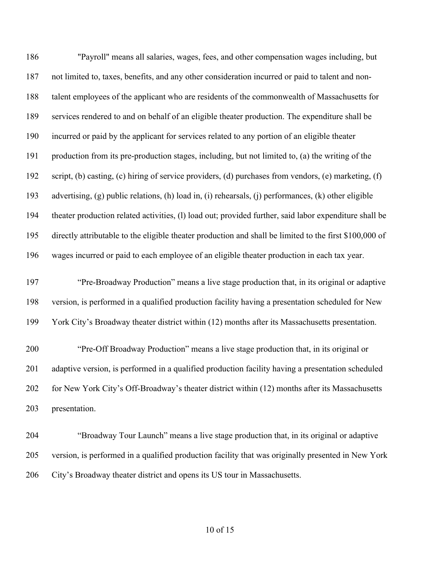"Payroll" means all salaries, wages, fees, and other compensation wages including, but not limited to, taxes, benefits, and any other consideration incurred or paid to talent and non- talent employees of the applicant who are residents of the commonwealth of Massachusetts for services rendered to and on behalf of an eligible theater production. The expenditure shall be incurred or paid by the applicant for services related to any portion of an eligible theater production from its pre-production stages, including, but not limited to, (a) the writing of the script, (b) casting, (c) hiring of service providers, (d) purchases from vendors, (e) marketing, (f) advertising, (g) public relations, (h) load in, (i) rehearsals, (j) performances, (k) other eligible theater production related activities, (l) load out; provided further, said labor expenditure shall be directly attributable to the eligible theater production and shall be limited to the first \$100,000 of wages incurred or paid to each employee of an eligible theater production in each tax year. "Pre-Broadway Production" means a live stage production that, in its original or adaptive version, is performed in a qualified production facility having a presentation scheduled for New York City's Broadway theater district within (12) months after its Massachusetts presentation. "Pre-Off Broadway Production" means a live stage production that, in its original or adaptive version, is performed in a qualified production facility having a presentation scheduled 202 for New York City's Off-Broadway's theater district within (12) months after its Massachusetts presentation.

 "Broadway Tour Launch" means a live stage production that, in its original or adaptive version, is performed in a qualified production facility that was originally presented in New York City's Broadway theater district and opens its US tour in Massachusetts.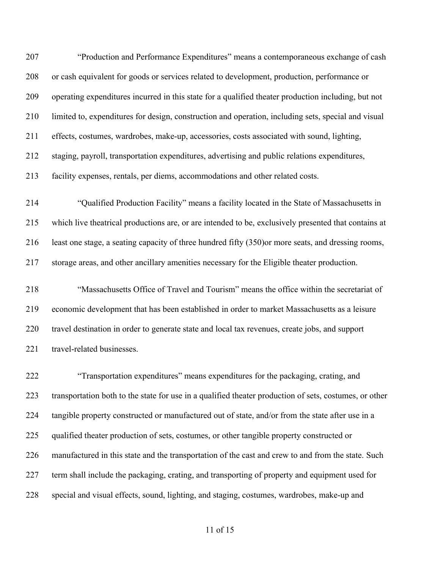"Production and Performance Expenditures" means a contemporaneous exchange of cash or cash equivalent for goods or services related to development, production, performance or operating expenditures incurred in this state for a qualified theater production including, but not limited to, expenditures for design, construction and operation, including sets, special and visual effects, costumes, wardrobes, make-up, accessories, costs associated with sound, lighting, staging, payroll, transportation expenditures, advertising and public relations expenditures, facility expenses, rentals, per diems, accommodations and other related costs.

 "Qualified Production Facility" means a facility located in the State of Massachusetts in which live theatrical productions are, or are intended to be, exclusively presented that contains at least one stage, a seating capacity of three hundred fifty (350)or more seats, and dressing rooms, storage areas, and other ancillary amenities necessary for the Eligible theater production.

 "Massachusetts Office of Travel and Tourism" means the office within the secretariat of economic development that has been established in order to market Massachusetts as a leisure travel destination in order to generate state and local tax revenues, create jobs, and support 221 travel-related businesses.

 "Transportation expenditures" means expenditures for the packaging, crating, and transportation both to the state for use in a qualified theater production of sets, costumes, or other 224 tangible property constructed or manufactured out of state, and/or from the state after use in a 225 qualified theater production of sets, costumes, or other tangible property constructed or manufactured in this state and the transportation of the cast and crew to and from the state. Such term shall include the packaging, crating, and transporting of property and equipment used for special and visual effects, sound, lighting, and staging, costumes, wardrobes, make-up and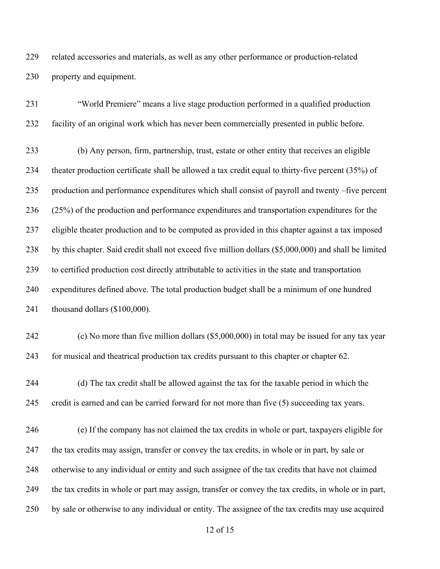related accessories and materials, as well as any other performance or production-related property and equipment.

 "World Premiere" means a live stage production performed in a qualified production facility of an original work which has never been commercially presented in public before.

 (b) Any person, firm, partnership, trust, estate or other entity that receives an eligible theater production certificate shall be allowed a tax credit equal to thirty-five percent (35%) of production and performance expenditures which shall consist of payroll and twenty –five percent (25%) of the production and performance expenditures and transportation expenditures for the eligible theater production and to be computed as provided in this chapter against a tax imposed by this chapter. Said credit shall not exceed five million dollars (\$5,000,000) and shall be limited to certified production cost directly attributable to activities in the state and transportation expenditures defined above. The total production budget shall be a minimum of one hundred thousand dollars (\$100,000).

 (c) No more than five million dollars (\$5,000,000) in total may be issued for any tax year for musical and theatrical production tax credits pursuant to this chapter or chapter 62.

 (d) The tax credit shall be allowed against the tax for the taxable period in which the credit is earned and can be carried forward for not more than five (5) succeeding tax years.

 (e) If the company has not claimed the tax credits in whole or part, taxpayers eligible for the tax credits may assign, transfer or convey the tax credits, in whole or in part, by sale or otherwise to any individual or entity and such assignee of the tax credits that have not claimed the tax credits in whole or part may assign, transfer or convey the tax credits, in whole or in part, by sale or otherwise to any individual or entity. The assignee of the tax credits may use acquired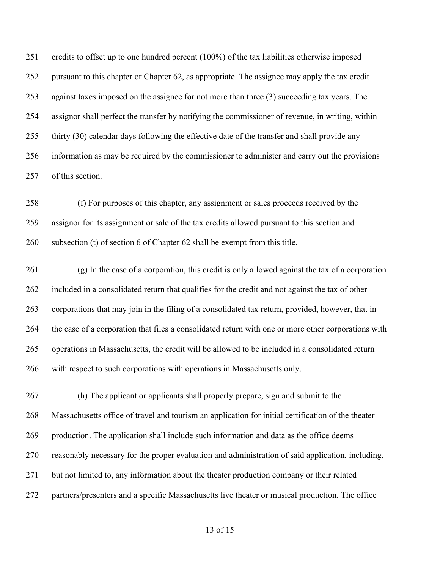credits to offset up to one hundred percent (100%) of the tax liabilities otherwise imposed pursuant to this chapter or Chapter 62, as appropriate. The assignee may apply the tax credit against taxes imposed on the assignee for not more than three (3) succeeding tax years. The assignor shall perfect the transfer by notifying the commissioner of revenue, in writing, within thirty (30) calendar days following the effective date of the transfer and shall provide any information as may be required by the commissioner to administer and carry out the provisions of this section.

 (f) For purposes of this chapter, any assignment or sales proceeds received by the assignor for its assignment or sale of the tax credits allowed pursuant to this section and subsection (t) of section 6 of Chapter 62 shall be exempt from this title.

 (g) In the case of a corporation, this credit is only allowed against the tax of a corporation included in a consolidated return that qualifies for the credit and not against the tax of other corporations that may join in the filing of a consolidated tax return, provided, however, that in the case of a corporation that files a consolidated return with one or more other corporations with operations in Massachusetts, the credit will be allowed to be included in a consolidated return with respect to such corporations with operations in Massachusetts only.

 (h) The applicant or applicants shall properly prepare, sign and submit to the Massachusetts office of travel and tourism an application for initial certification of the theater production. The application shall include such information and data as the office deems reasonably necessary for the proper evaluation and administration of said application, including, 271 but not limited to, any information about the theater production company or their related partners/presenters and a specific Massachusetts live theater or musical production. The office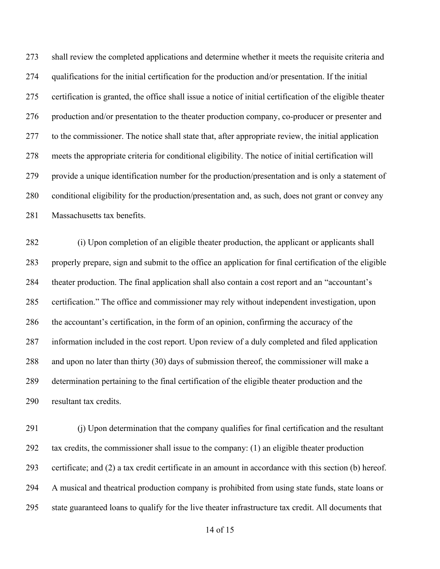shall review the completed applications and determine whether it meets the requisite criteria and qualifications for the initial certification for the production and/or presentation. If the initial certification is granted, the office shall issue a notice of initial certification of the eligible theater 276 production and/or presentation to the theater production company, co-producer or presenter and to the commissioner. The notice shall state that, after appropriate review, the initial application meets the appropriate criteria for conditional eligibility. The notice of initial certification will provide a unique identification number for the production/presentation and is only a statement of conditional eligibility for the production/presentation and, as such, does not grant or convey any Massachusetts tax benefits.

 (i) Upon completion of an eligible theater production, the applicant or applicants shall properly prepare, sign and submit to the office an application for final certification of the eligible theater production. The final application shall also contain a cost report and an "accountant's certification." The office and commissioner may rely without independent investigation, upon the accountant's certification, in the form of an opinion, confirming the accuracy of the information included in the cost report. Upon review of a duly completed and filed application and upon no later than thirty (30) days of submission thereof, the commissioner will make a determination pertaining to the final certification of the eligible theater production and the resultant tax credits.

 (j) Upon determination that the company qualifies for final certification and the resultant tax credits, the commissioner shall issue to the company: (1) an eligible theater production certificate; and (2) a tax credit certificate in an amount in accordance with this section (b) hereof. A musical and theatrical production company is prohibited from using state funds, state loans or state guaranteed loans to qualify for the live theater infrastructure tax credit. All documents that